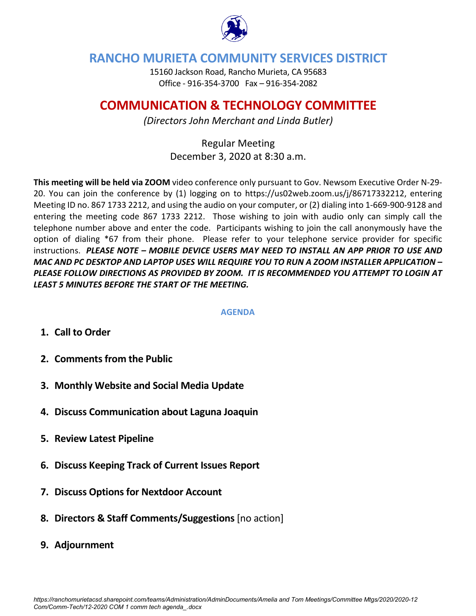

## **RANCHO MURIETA COMMUNITY SERVICES DISTRICT**

15160 Jackson Road, Rancho Murieta, CA 95683 Office - 916-354-3700 Fax – 916-354-2082

## **COMMUNICATION & TECHNOLOGY COMMITTEE**

*(Directors John Merchant and Linda Butler)*

Regular Meeting December 3, 2020 at 8:30 a.m.

**This meeting will be held via ZOOM** video conference only pursuant to Gov. Newsom Executive Order N-29- 20. You can join the conference by (1) logging on to https://us02web.zoom.us/j/86717332212, entering Meeting ID no. 867 1733 2212, and using the audio on your computer, or (2) dialing into 1-669-900-9128 and entering the meeting code 867 1733 2212. Those wishing to join with audio only can simply call the telephone number above and enter the code. Participants wishing to join the call anonymously have the option of dialing \*67 from their phone. Please refer to your telephone service provider for specific instructions. *PLEASE NOTE – MOBILE DEVICE USERS MAY NEED TO INSTALL AN APP PRIOR TO USE AND MAC AND PC DESKTOP AND LAPTOP USES WILL REQUIRE YOU TO RUN A ZOOM INSTALLER APPLICATION – PLEASE FOLLOW DIRECTIONS AS PROVIDED BY ZOOM. IT IS RECOMMENDED YOU ATTEMPT TO LOGIN AT LEAST 5 MINUTES BEFORE THE START OF THE MEETING.*

## **AGENDA**

- **1. Call to Order**
- **2. Comments from the Public**
- **3. Monthly Website and Social Media Update**
- **4. Discuss Communication about Laguna Joaquin**
- **5. Review Latest Pipeline**
- **6. Discuss Keeping Track of Current Issues Report**
- **7. Discuss Options for Nextdoor Account**
- **8. Directors & Staff Comments/Suggestions** [no action]
- **9. Adjournment**